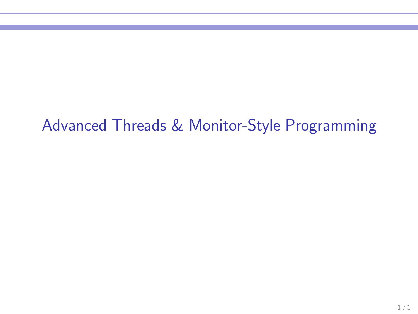## Advanced Threads & Monitor-Style Programming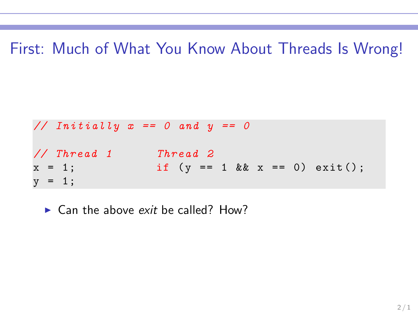First: Much of What You Know About Threads Is Wrong!

*// Initially x == 0 and y == 0 // Thread 1 Thread 2* x = 1; if (y == 1 && x == 0) exit () ; y = 1;

 $\blacktriangleright$  Can the above exit be called? How?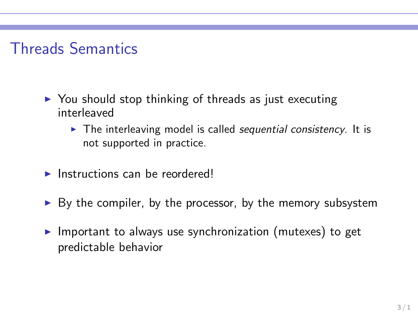# Threads Semantics

- $\triangleright$  You should stop thinking of threads as just executing interleaved
	- $\triangleright$  The interleaving model is called sequential consistency. It is not supported in practice.
- $\blacktriangleright$  Instructions can be reordered!
- $\triangleright$  By the compiler, by the processor, by the memory subsystem
- $\triangleright$  Important to always use synchronization (mutexes) to get predictable behavior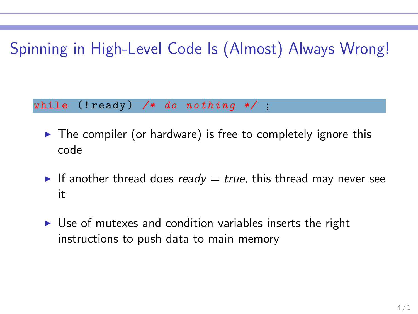# Spinning in High-Level Code Is (Almost) Always Wrong!

while (! ready ) */\* do nothing \*/* ;

- $\triangleright$  The compiler (or hardware) is free to completely ignore this code
- If another thread does ready  $=$  true, this thread may never see it
- ► Use of mutexes and condition variables inserts the right instructions to push data to main memory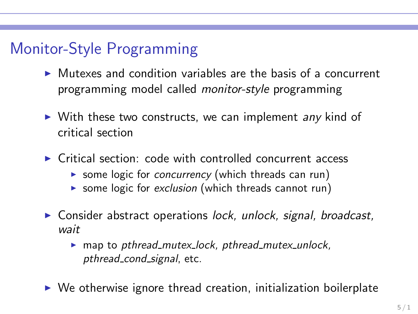# Monitor-Style Programming

- $\triangleright$  Mutexes and condition variables are the basis of a concurrent programming model called monitor-style programming
- ▶ With these two constructs, we can implement any kind of critical section
- $\triangleright$  Critical section: code with controlled concurrent access
	- ▶ some logic for *concurrency* (which threads can run)
	- ▶ some logic for exclusion (which threads cannot run)
- ▶ Consider abstract operations lock, unlock, signal, broadcast, wait
	- $\triangleright$  map to pthread mutex lock, pthread mutex unlock, pthread\_cond\_signal, etc.
- $\triangleright$  We otherwise ignore thread creation, initialization boilerplate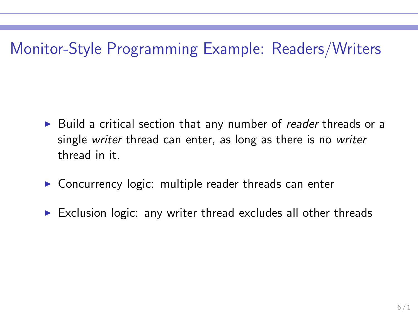# Monitor-Style Programming Example: Readers/Writers

- ► Build a critical section that any number of reader threads or a single writer thread can enter, as long as there is no writer thread in it.
- $\triangleright$  Concurrency logic: multiple reader threads can enter
- $\triangleright$  Exclusion logic: any writer thread excludes all other threads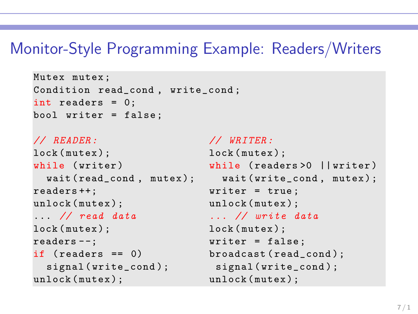### Monitor-Style Programming Example: Readers/Writers

```
Mutex mutex ;
Condition read_cond , write_cond ;
int readers = 0;
bool writer = false ;
```

```
// READER : // WRITER :
lock (mutex); lock (mutex);
readers ++: vriter = true;
unlock (mutex); unlock (mutex);
... // read data ... // write data
lock (mutex); lock (mutex);
readers --; vriter = false;
if ( readers == 0) broadcast read_{cond};
 signal (write_cond); signal (write_cond);
unlock (mutex); unlock (mutex);
```

```
while (writer) while (readers >0 ||writer)
 wait ( read_cond, mutex ); wait ( write_cond, mutex );
```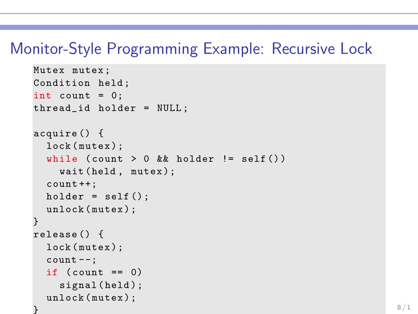### Monitor-Style Programming Example: Recursive Lock

```
Mutex mutex ;
Condition held ;
int count = 0;
thread_id holder = NULL ;
acquire () {
  lock (mutex);
  while (count > 0 && holder != self())
    wait (held, mutex);
  count ++;
  holder = self();
  unlock (mutex);
}
release () {
  lock (mutex);
  count --;if \text{(count == 0)}signal (held);
  unlock (mutex);
}
```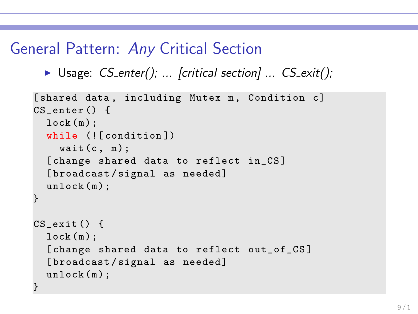## General Pattern: Any Critical Section

```
▶ Usage: CS_enter(); ... [critical section] ... CS_exit();
```

```
[shared data, including Mutex m, Condition c]
CS enter () {
  lock(m);while (![ condition ])
    wait(c, m);[ change shared data to reflect in_CS ]
  [broadcast/signal as needed]
  unlock (m);
}
CS_exit () {
  lock(m):[change shared data to reflect out_of_CS]
  [broadcast/signal as needed]
  unlock (m);
}
```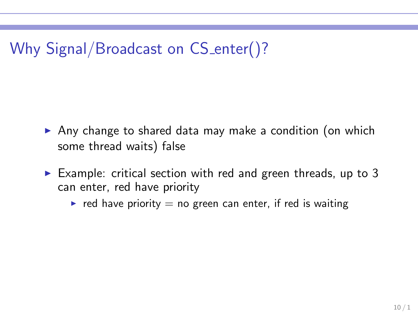# Why Signal/Broadcast on CS\_enter()?

- ▶ Any change to shared data may make a condition (on which some thread waits) false
- Example: critical section with red and green threads, up to 3 can enter, red have priority
	- red have priority  $=$  no green can enter, if red is waiting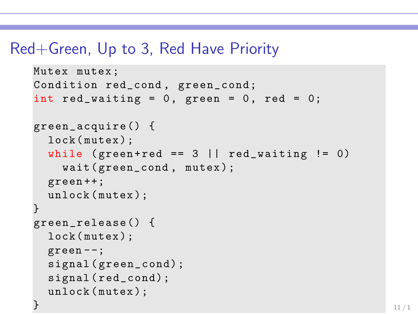### Red+Green, Up to 3, Red Have Priority

```
Mutex mutex ;
Condition red_cond , green_cond;
int red_waiting = 0, green = 0, red = 0;
green_acquire () {
  lock (mutex);
  while (green+red == 3 \mid \mid red_waiting != 0)
    wait (green_cond, mutex);
  green ++;
  unlock (mutex);
}
green_release () {
  lock ( mutex ) ;
  green - -;
  signal (green_cond);
  signal ( red_cond);
  unlock (mutex);
} the contract of the contract of the contract of the contract of the contract of 11/1
```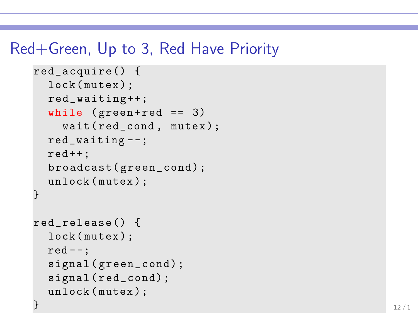### Red+Green, Up to 3, Red Have Priority

```
red_acquire () {
 lock (mutex);
 red_waiting ++;
 while (green + red == 3)wait (red_cond, mutex);
 red_waiting - -;
 red++;broadcast( green_cond) ;
 unlock (mutex);
}
red_release () {
 lock ( mutex ) ;
 red --;signal (green_cond);
 signal ( red_cond);
 unlock (mutex);
\} 12/1
```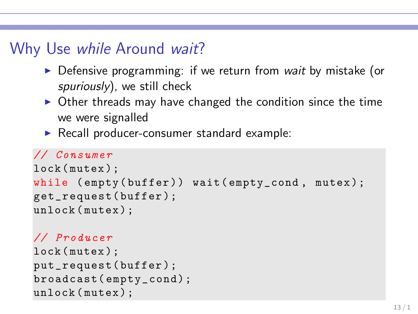## Why Use while Around wait?

- ▶ Defensive programming: if we return from wait by mistake (or spuriously), we still check
- $\triangleright$  Other threads may have changed the condition since the time we were signalled
- ▶ Recall producer-consumer standard example:

#### *// Consumer*

```
lock (mutex) :
while (empty(buffer)) wait (empty_cond, mutex);
get_request( buffer );
unlock (mutex);
```
#### *// Producer*

```
lock (mutex);
put_request( buffer );
broadcast( empty_cond);
unlock (mutex);
```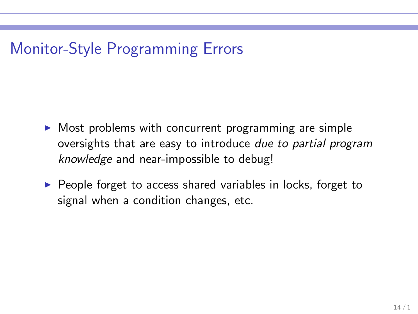# Monitor-Style Programming Errors

- $\triangleright$  Most problems with concurrent programming are simple oversights that are easy to introduce due to partial program knowledge and near-impossible to debug!
- ▶ People forget to access shared variables in locks, forget to signal when a condition changes, etc.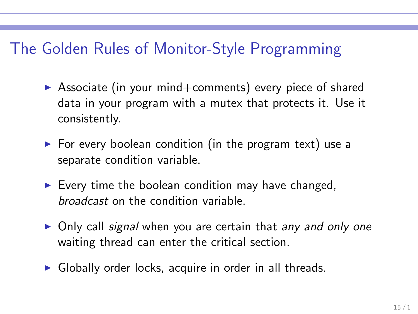## The Golden Rules of Monitor-Style Programming

- $\triangleright$  Associate (in your mind+comments) every piece of shared data in your program with a mutex that protects it. Use it consistently.
- $\triangleright$  For every boolean condition (in the program text) use a separate condition variable.
- $\triangleright$  Every time the boolean condition may have changed, broadcast on the condition variable.
- ▶ Only call signal when you are certain that any and only one waiting thread can enter the critical section.
- $\triangleright$  Globally order locks, acquire in order in all threads.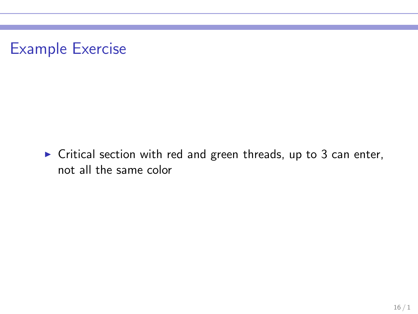

 $\triangleright$  Critical section with red and green threads, up to 3 can enter, not all the same color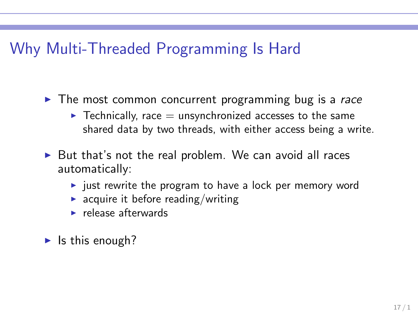### Why Multi-Threaded Programming Is Hard

 $\triangleright$  The most common concurrent programming bug is a race

- $\blacktriangleright$  Technically, race  $=$  unsynchronized accesses to the same shared data by two threads, with either access being a write.
- $\triangleright$  But that's not the real problem. We can avoid all races automatically:
	- $\rightarrow$  just rewrite the program to have a lock per memory word
	- $\blacktriangleright$  acquire it before reading/writing
	- $\blacktriangleright$  release afterwards

 $\blacktriangleright$  Is this enough?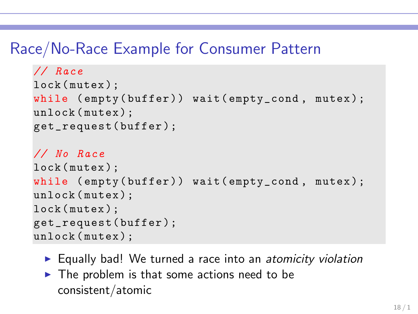### Race/No-Race Example for Consumer Pattern

```
// Race
lock (mutex);
while (empty(buffer)) wait (empty_cond, mutex);
unlock (mutex);
get_request( buffer );
// No Race
lock (mutex);
while (empty(buffer)) wait(empty_cond, mutex);
unlock (mutex);
lock (mutex);
get_request( buffer );
unlock (mutex);
```
- ► Equally bad! We turned a race into an atomicity violation
- $\triangleright$  The problem is that some actions need to be consistent/atomic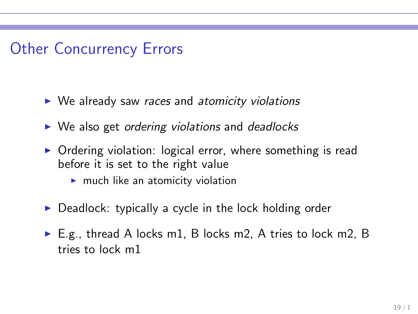### Other Concurrency Errors

- $\triangleright$  We already saw races and atomicity violations
- $\triangleright$  We also get ordering violations and deadlocks
- ▶ Ordering violation: logical error, where something is read before it is set to the right value
	- $\blacktriangleright$  much like an atomicity violation
- $\triangleright$  Deadlock: typically a cycle in the lock holding order
- $\triangleright$  E.g., thread A locks m1, B locks m2, A tries to lock m2, B tries to lock m1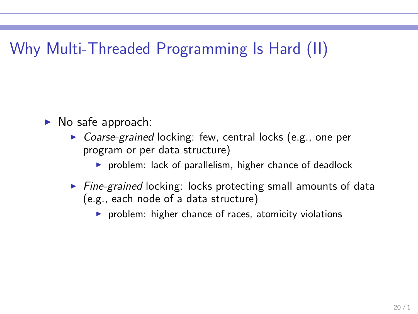## Why Multi-Threaded Programming Is Hard (II)

- $\blacktriangleright$  No safe approach:
	- ▶ Coarse-grained locking: few, central locks (e.g., one per program or per data structure)
		- $\triangleright$  problem: lack of parallelism, higher chance of deadlock
	- $\triangleright$  Fine-grained locking: locks protecting small amounts of data (e.g., each node of a data structure)
		- ▶ problem: higher chance of races, atomicity violations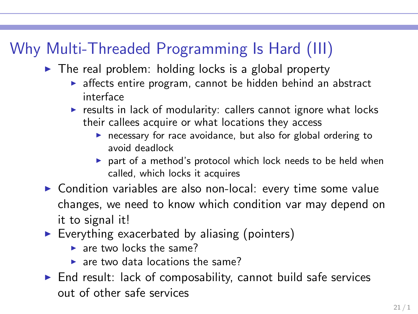# Why Multi-Threaded Programming Is Hard (III)

- $\triangleright$  The real problem: holding locks is a global property
	- ▶ affects entire program, cannot be hidden behind an abstract interface
	- $\triangleright$  results in lack of modularity: callers cannot ignore what locks their callees acquire or what locations they access
		- $\triangleright$  necessary for race avoidance, but also for global ordering to avoid deadlock
		- ▶ part of a method's protocol which lock needs to be held when called, which locks it acquires
- ▶ Condition variables are also non-local: every time some value changes, we need to know which condition var may depend on it to signal it!
- $\triangleright$  Everything exacerbated by aliasing (pointers)
	- $\triangleright$  are two locks the same?
	- $\triangleright$  are two data locations the same?
- $\triangleright$  End result: lack of composability, cannot build safe services out of other safe services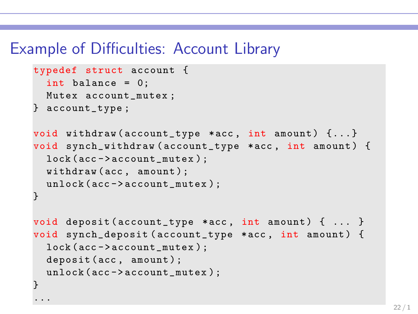### Example of Difficulties: Account Library

```
typedef struct account {
  int balance = 0;
  Mutex account_mutex ;
} account_type ;
void withdraw (account_type *acc, int amount) {...}
void synch_withdraw ( account_type *acc , int amount ) {
  lock (acc -> account_mutex );
  withdraw (acc, amount);
  unlock (acc->account_mutex);
}
void deposit (\text{account\_type} *acc, int amount) \{ \dots \}void synch_deposit ( account_type * acc , int amount ) {
  lock (acc -> account_mutex );
  deposit (acc, amount);
  unlock (acc->account_mutex);
}
...
```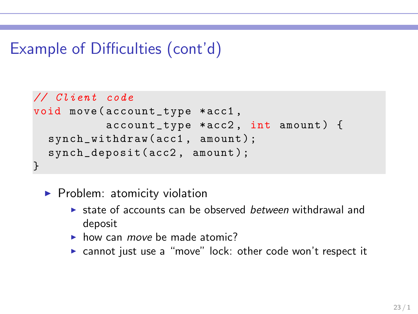# Example of Difficulties (cont'd)

```
// Client code
void move ( account_type * acc1 ,
           account\_type * acc2, int amount) {
  synch_withdraw(acc1, amount);
  synch_deposit( acc2 , amount );
}
```
- ▶ Problem: atomicity violation
	- $\triangleright$  state of accounts can be observed *between* withdrawal and deposit
	- $\blacktriangleright$  how can *move* be made atomic?
	- ► cannot just use a "move" lock: other code won't respect it